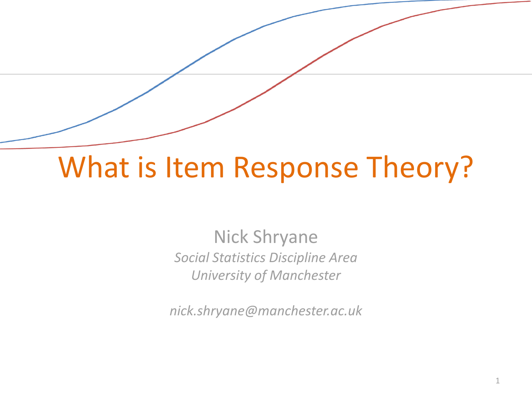### What is Item Response Theory?

Nick Shryane *Social Statistics Discipline Area University of Manchester*

*nick.shryane@manchester.ac.uk*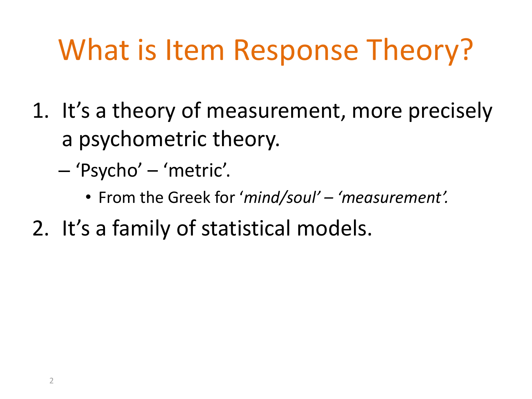# What is Item Response Theory?

- 1. It's a theory of measurement, more precisely a psychometric theory.
	- 'Psycho' 'metric'.
		- From the Greek for '*mind/soul' – 'measurement'.*
- 2. It's a family of statistical models.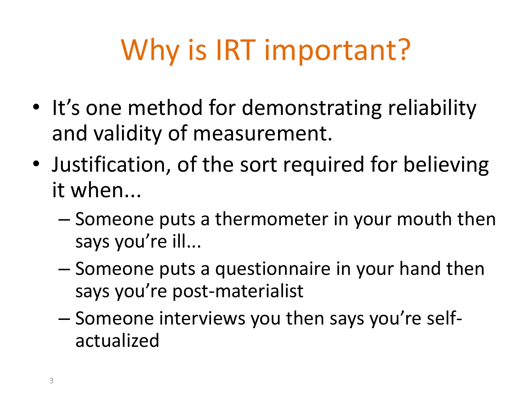# Why is IRT important?

- It's one method for demonstrating reliability and validity of measurement.
- Justification, of the sort required for believing it when...
	- Someone puts a thermometer in your mouth then says you're ill...
	- Someone puts a questionnaire in your hand then says you're post-materialist
	- Someone interviews you then says you're selfactualized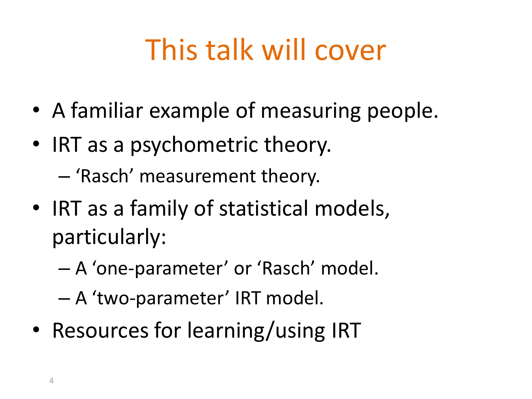# This talk will cover

- A familiar example of measuring people.
- IRT as a psychometric theory. – 'Rasch' measurement theory.
- IRT as a family of statistical models, particularly:
	- A 'one-parameter' or 'Rasch' model.
	- A 'two-parameter' IRT model.
- Resources for learning/using IRT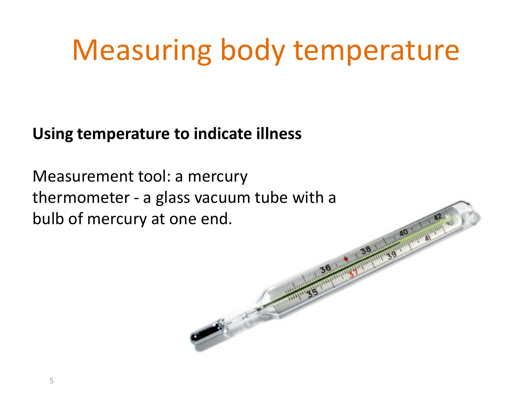#### **Using temperature to indicate illness**

Measurement tool: a mercury thermometer - a glass vacuum tube with a bulb of mercury at one end.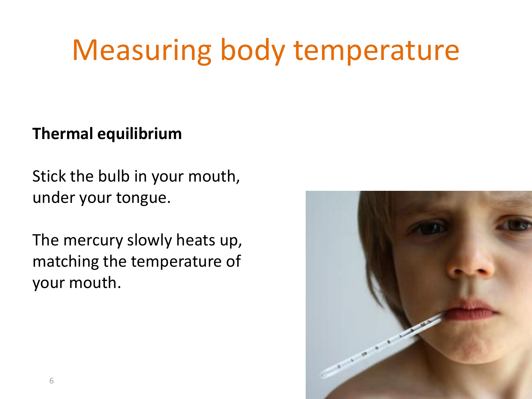#### **Thermal equilibrium**

Stick the bulb in your mouth, under your tongue.

The mercury slowly heats up, matching the temperature of your mouth.

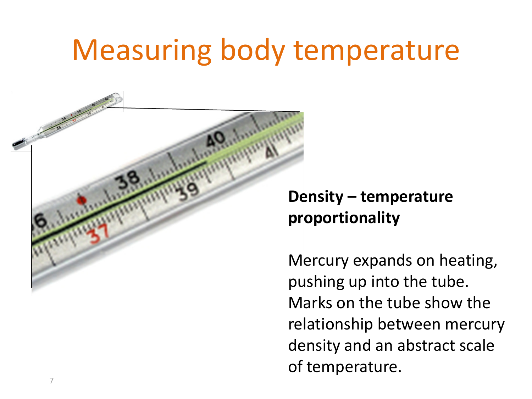

### **Density – temperature proportionality**

Mercury expands on heating, pushing up into the tube. Marks on the tube show the relationship between mercury density and an abstract scale of temperature.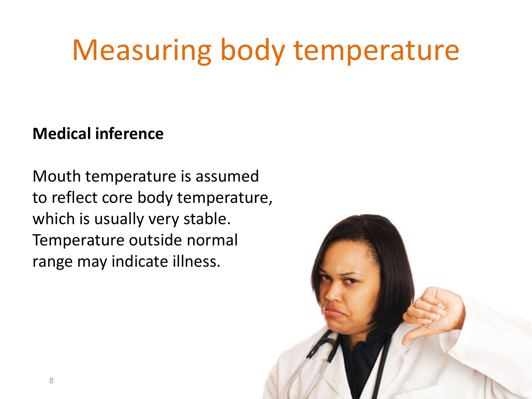#### **Medical inference**

Mouth temperature is assumed to reflect core body temperature, which is usually very stable. Temperature outside normal range may indicate illness.

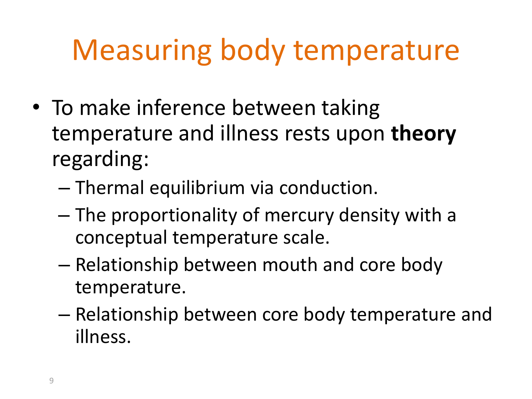- To make inference between taking temperature and illness rests upon **theory** regarding:
	- Thermal equilibrium via conduction.
	- The proportionality of mercury density with a conceptual temperature scale.
	- Relationship between mouth and core body temperature.
	- Relationship between core body temperature and illness.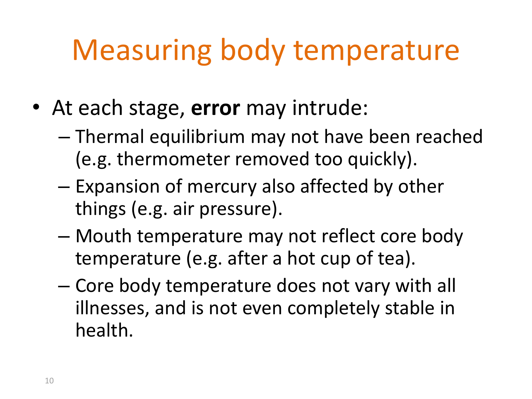- At each stage, **error** may intrude:
	- Thermal equilibrium may not have been reached (e.g. thermometer removed too quickly).
	- Expansion of mercury also affected by other things (e.g. air pressure).
	- Mouth temperature may not reflect core body temperature (e.g. after a hot cup of tea).
	- Core body temperature does not vary with all illnesses, and is not even completely stable in health.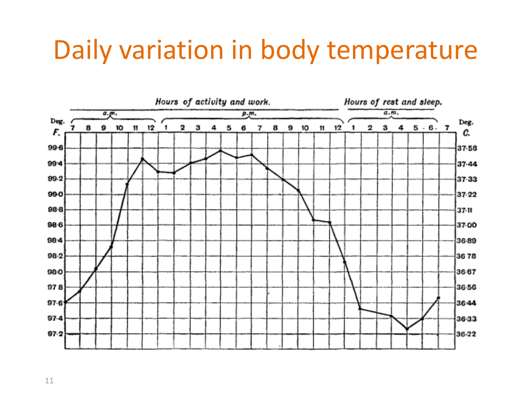### Daily variation in body temperature

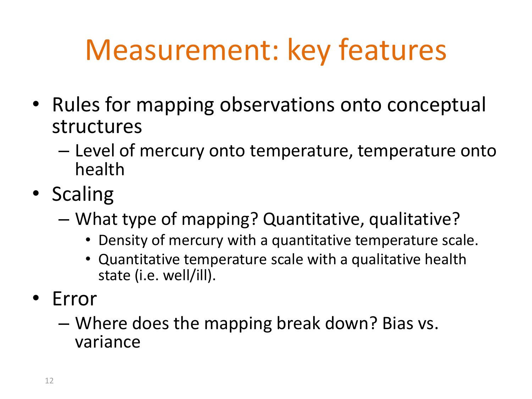# Measurement: key features

- Rules for mapping observations onto conceptual structures
	- Level of mercury onto temperature, temperature onto health
- Scaling
	- What type of mapping? Quantitative, qualitative?
		- Density of mercury with a quantitative temperature scale.
		- Quantitative temperature scale with a qualitative health state (i.e. well/ill).
- Error
	- Where does the mapping break down? Bias vs. variance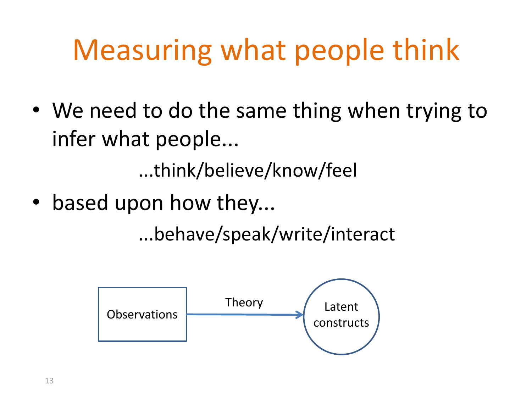# Measuring what people think

• We need to do the same thing when trying to infer what people...

...think/believe/know/feel

• based upon how they...

...behave/speak/write/interact

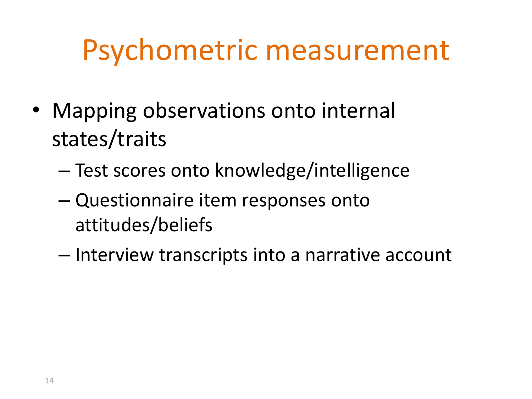### Psychometric measurement

- Mapping observations onto internal states/traits
	- Test scores onto knowledge/intelligence
	- Questionnaire item responses onto attitudes/beliefs
	- Interview transcripts into a narrative account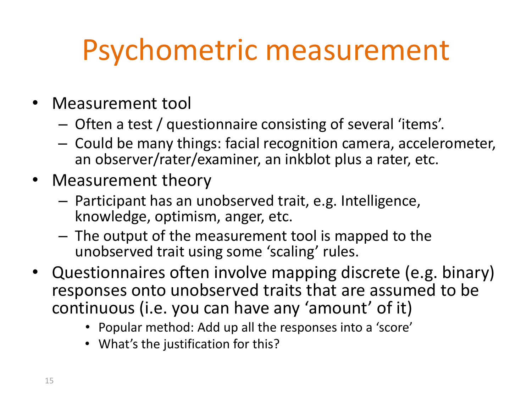# Psychometric measurement

- Measurement tool
	- Often a test / questionnaire consisting of several 'items'.
	- Could be many things: facial recognition camera, accelerometer, an observer/rater/examiner, an inkblot plus a rater, etc.
- Measurement theory
	- Participant has an unobserved trait, e.g. Intelligence, knowledge, optimism, anger, etc.
	- The output of the measurement tool is mapped to the unobserved trait using some 'scaling' rules.
- Questionnaires often involve mapping discrete (e.g. binary) responses onto unobserved traits that are assumed to be continuous (i.e. you can have any 'amount' of it)
	- Popular method: Add up all the responses into a 'score'
	- What's the justification for this?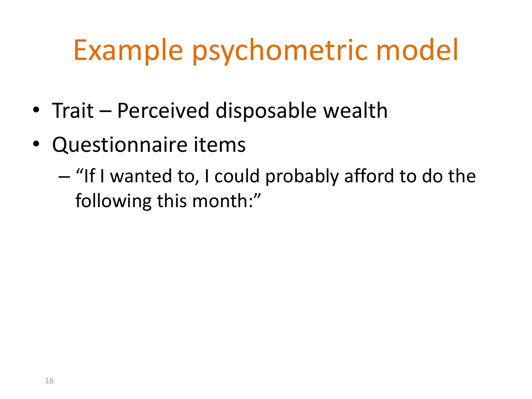- Trait Perceived disposable wealth
- Questionnaire items
	- "If I wanted to, I could probably afford to do the following this month:"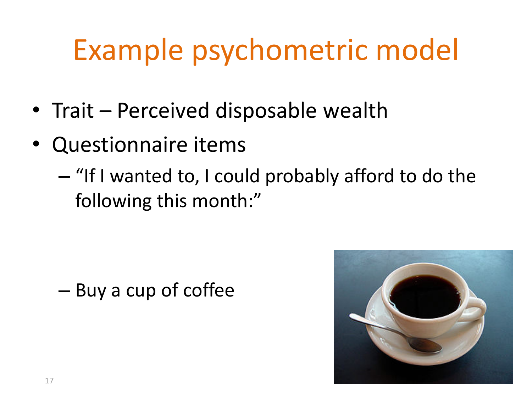- Trait Perceived disposable wealth
- Questionnaire items
	- "If I wanted to, I could probably afford to do the following this month:"

– Buy a cup of coffee

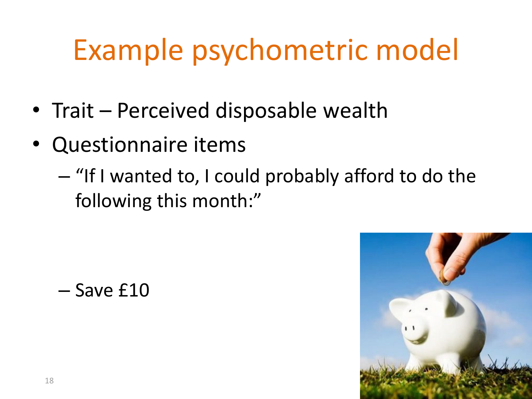- Trait Perceived disposable wealth
- Questionnaire items
	- "If I wanted to, I could probably afford to do the following this month:"

$$
- \text{Save } \pmb{\text{\texttt{f10}}}
$$

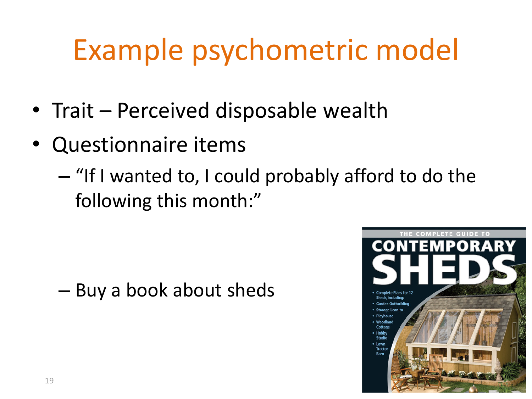- Trait Perceived disposable wealth
- Questionnaire items
	- "If I wanted to, I could probably afford to do the following this month:"

– Buy a book about sheds

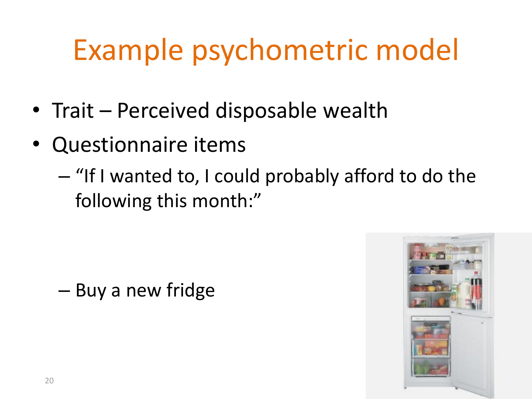- Trait Perceived disposable wealth
- Questionnaire items
	- "If I wanted to, I could probably afford to do the following this month:"

– Buy a new fridge

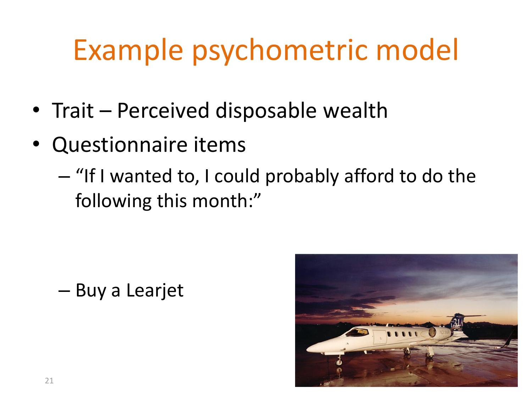- Trait Perceived disposable wealth
- Questionnaire items
	- "If I wanted to, I could probably afford to do the following this month:"

– Buy a Learjet

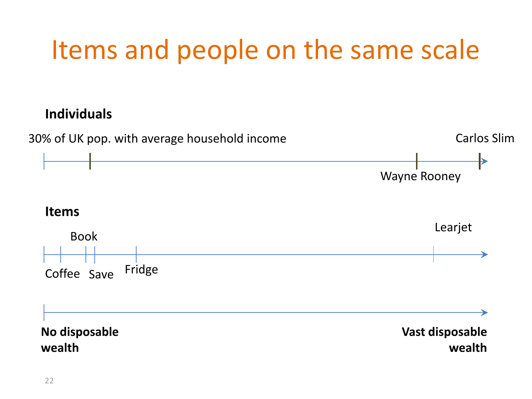### Items and people on the same scale

#### **Individuals**

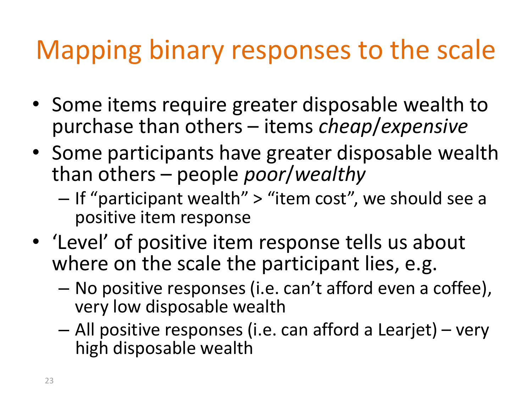### Mapping binary responses to the scale

- Some items require greater disposable wealth to purchase than others – items *cheap*/*expensive*
- Some participants have greater disposable wealth than others – people *poor*/*wealthy*
	- If "participant wealth" > "item cost", we should see a positive item response
- 'Level' of positive item response tells us about where on the scale the participant lies, e.g.
	- No positive responses (i.e. can't afford even a coffee), very low disposable wealth
	- All positive responses (i.e. can afford a Learjet) very high disposable wealth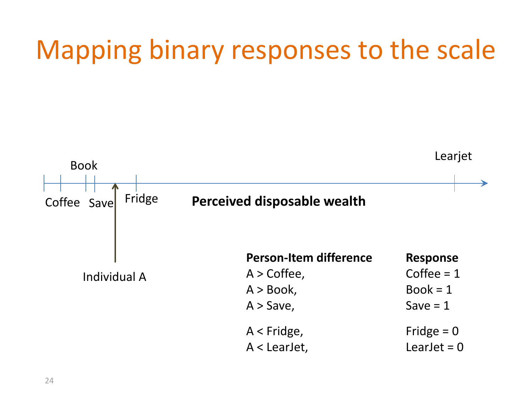### Mapping binary responses to the scale

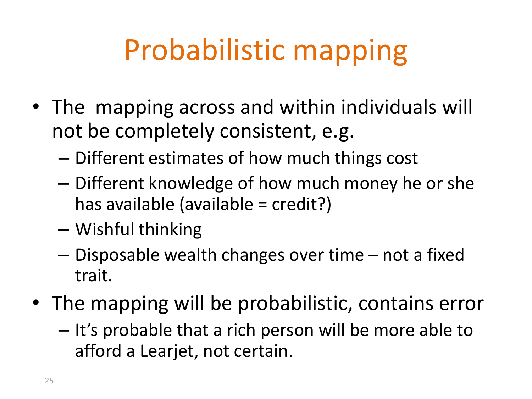# Probabilistic mapping

- The mapping across and within individuals will not be completely consistent, e.g.
	- Different estimates of how much things cost
	- Different knowledge of how much money he or she has available (available = credit?)
	- Wishful thinking
	- Disposable wealth changes over time not a fixed trait.
- The mapping will be probabilistic, contains error
	- It's probable that a rich person will be more able to afford a Learjet, not certain.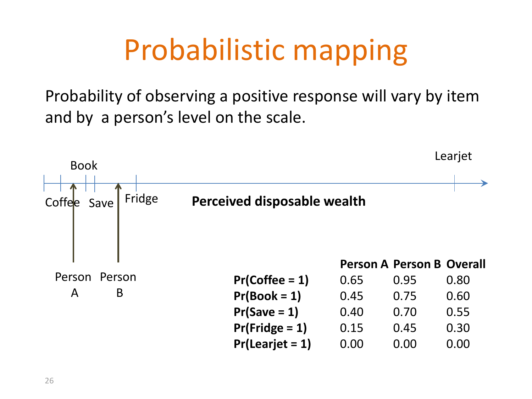# Probabilistic mapping

Probability of observing a positive response will vary by item and by a person's level on the scale.

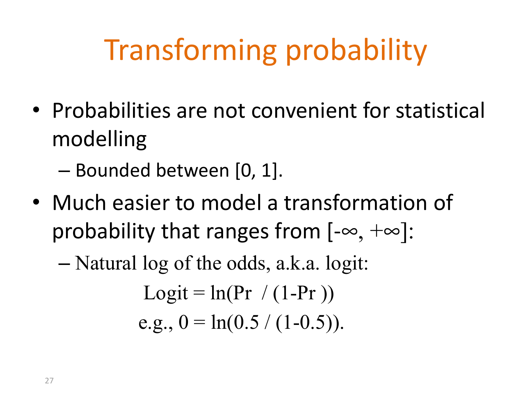# Transforming probability

- Probabilities are not convenient for statistical modelling
	- Bounded between [0, 1].
- Much easier to model a transformation of probability that ranges from  $[-\infty, +\infty]$ :

### – Natural log of the odds, a.k.a. logit: Logit =  $ln(Pr / (1-Pr))$

e.g., 
$$
0 = \ln(0.5 / (1 - 0.5))
$$
.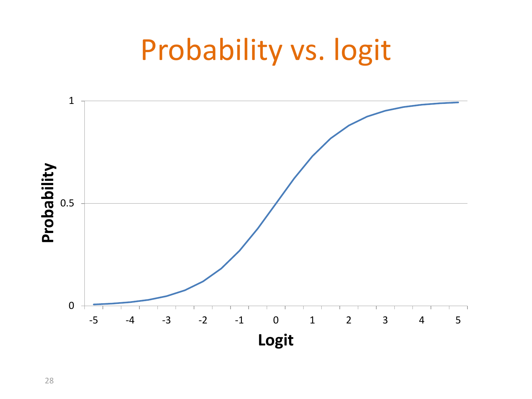### Probability vs. logit



28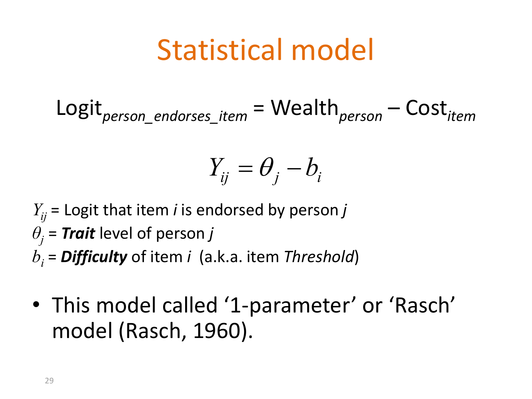### Statistical model

Logit*person\_endorses\_item* = Wealth*person* – Cost*item*

$$
Y_{ij} = \theta_j - b_i
$$

 $Y_{ii}$  = Logit that item *i* is endorsed by person *j*  $\theta$ <sup>*j*</sup> = *Trait* level of person *j bi* = *Difficulty* of item *i* (a.k.a. item *Threshold*)

• This model called '1-parameter' or 'Rasch' model (Rasch, 1960).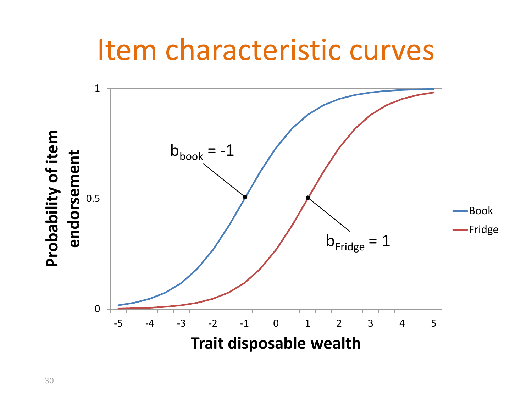### Item characteristic curves

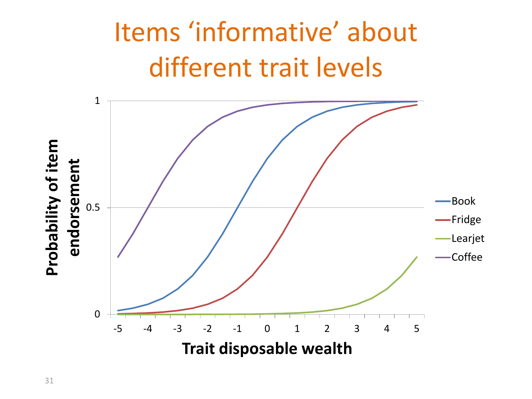### Items 'informative' about different trait levels

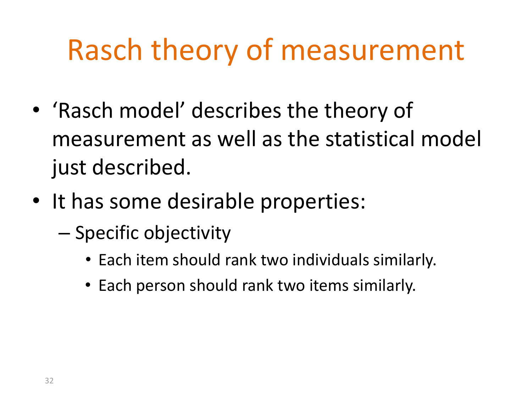## Rasch theory of measurement

- 'Rasch model' describes the theory of measurement as well as the statistical model just described.
- It has some desirable properties:
	- Specific objectivity
		- Each item should rank two individuals similarly.
		- Each person should rank two items similarly.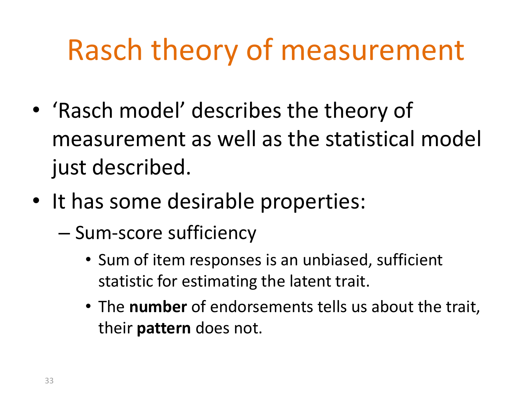# Rasch theory of measurement

- 'Rasch model' describes the theory of measurement as well as the statistical model just described.
- It has some desirable properties:
	- Sum-score sufficiency
		- Sum of item responses is an unbiased, sufficient statistic for estimating the latent trait.
		- The **number** of endorsements tells us about the trait, their **pattern** does not.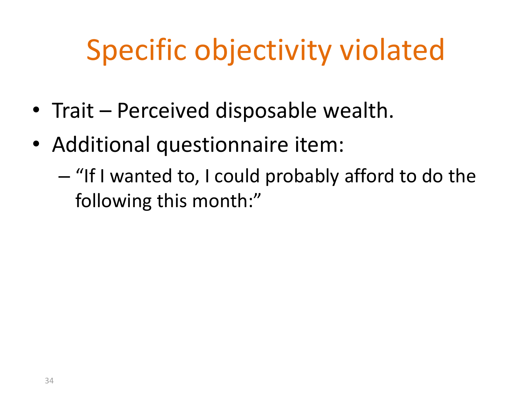- Trait Perceived disposable wealth.
- Additional questionnaire item:
	- "If I wanted to, I could probably afford to do the following this month:"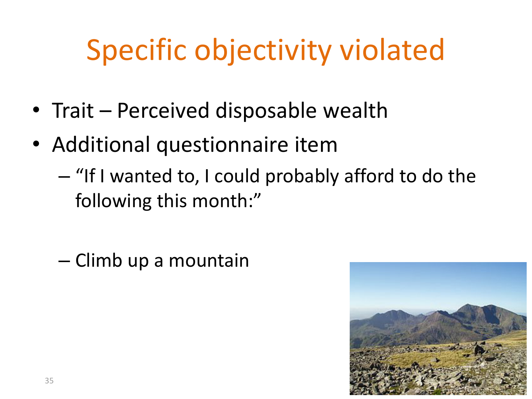- Trait Perceived disposable wealth
- Additional questionnaire item
	- "If I wanted to, I could probably afford to do the following this month:"

– Climb up a mountain

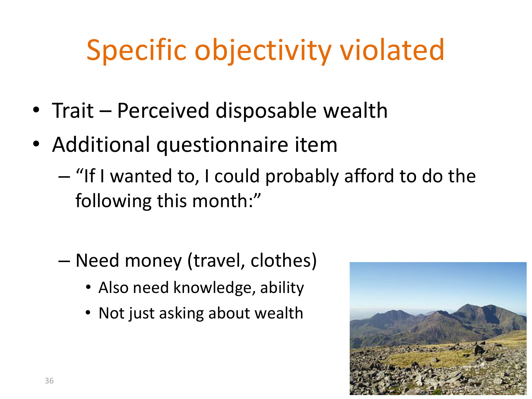- Trait Perceived disposable wealth
- Additional questionnaire item
	- "If I wanted to, I could probably afford to do the following this month:"
	- Need money (travel, clothes)
		- Also need knowledge, ability
		- Not just asking about wealth

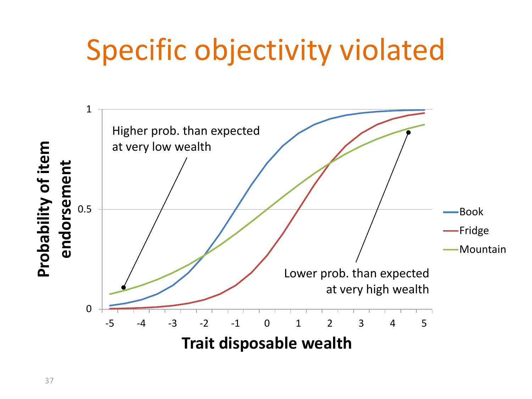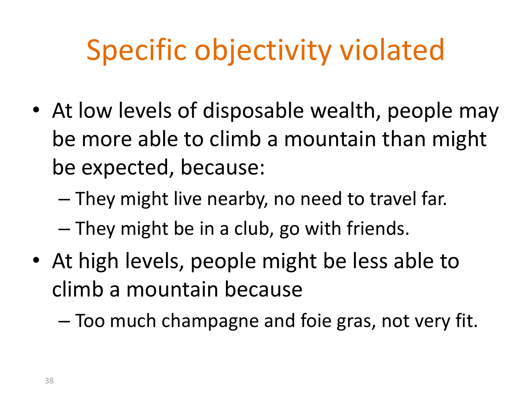- At low levels of disposable wealth, people may be more able to climb a mountain than might be expected, because:
	- They might live nearby, no need to travel far.
	- They might be in a club, go with friends.
- At high levels, people might be less able to climb a mountain because
	- Too much champagne and foie gras, not very fit.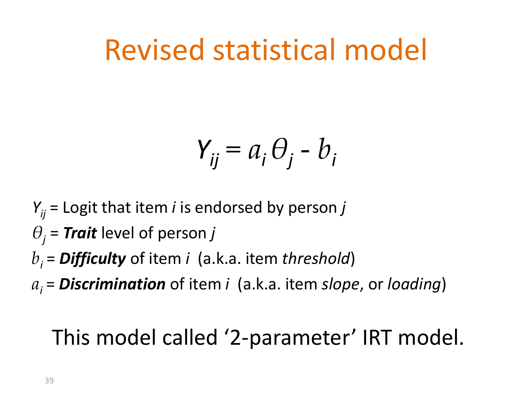### Revised statistical model

$$
Y_{ij} = a_i \theta_j - b_i
$$

- $Y_{ii}$  = Logit that item *i* is endorsed by person *j*
- $\theta_i$  = **Trait** level of person *j*
- *b<sup>i</sup>* = *Difficulty* of item *i* (a.k.a. item *threshold*)
- *a<sup>i</sup>* = *Discrimination* of item *i* (a.k.a. item *slope*, or *loading*)

### This model called '2-parameter' IRT model.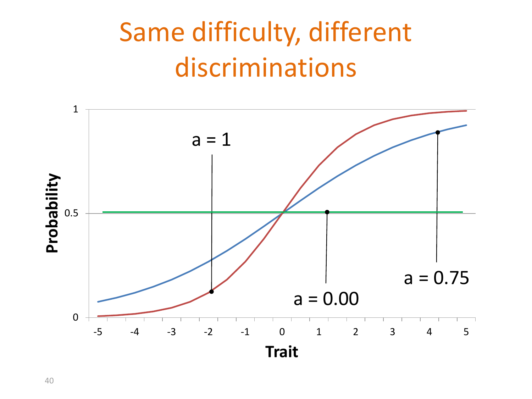### Same difficulty, different discriminations

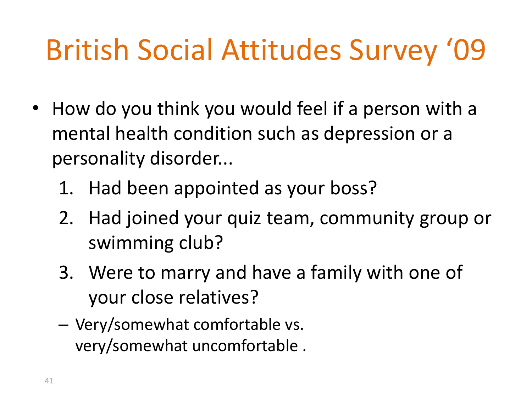- How do you think you would feel if a person with a mental health condition such as depression or a personality disorder...
	- 1. Had been appointed as your boss?
	- 2. Had joined your quiz team, community group or swimming club?
	- 3. Were to marry and have a family with one of your close relatives?
	- Very/somewhat comfortable vs. very/somewhat uncomfortable .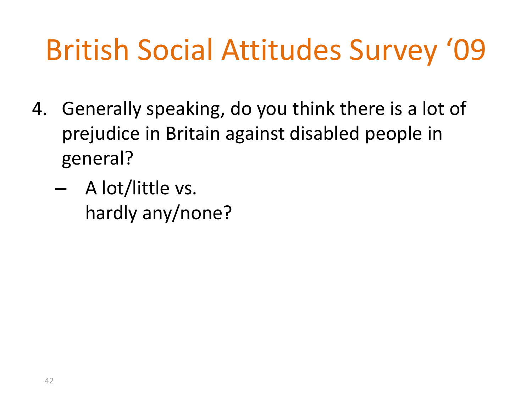- 4. Generally speaking, do you think there is a lot of prejudice in Britain against disabled people in general?
	- A lot/little vs. hardly any/none?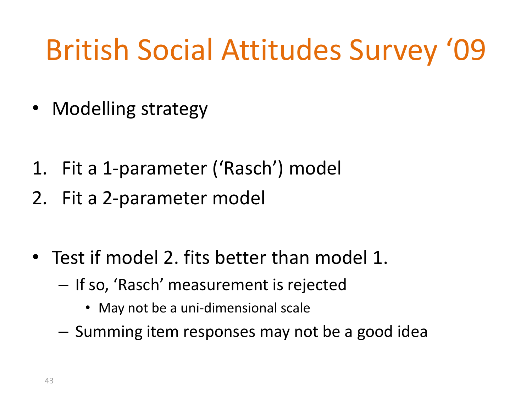- Modelling strategy
- 1. Fit a 1-parameter ('Rasch') model
- 2. Fit a 2-parameter model
- Test if model 2. fits better than model 1.
	- If so, 'Rasch' measurement is rejected
		- May not be a uni-dimensional scale
	- Summing item responses may not be a good idea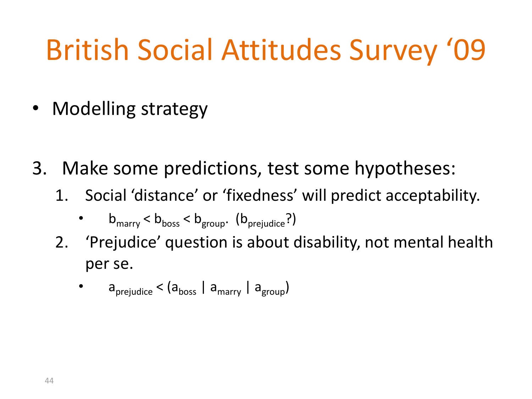- Modelling strategy
- 3. Make some predictions, test some hypotheses:
	- 1. Social 'distance' or 'fixedness' will predict acceptability.
		- $b_{\text{marry}} < b_{\text{bos}} < b_{\text{group}}$ . ( $b_{\text{prejudice}}$ ?)
	- 2. 'Prejudice' question is about disability, not mental health per se.
		- $a_{\text{preiudice}} < (a_{\text{boost}} \mid a_{\text{mirror}} \mid a_{\text{group}})$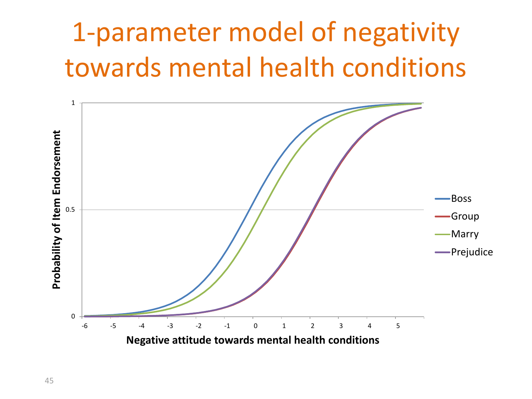### 1-parameter model of negativity towards mental health conditions

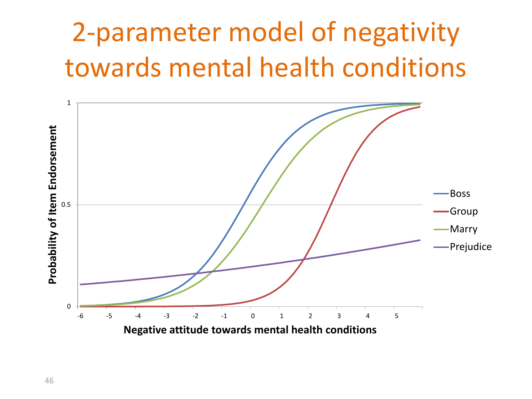### 2-parameter model of negativity towards mental health conditions

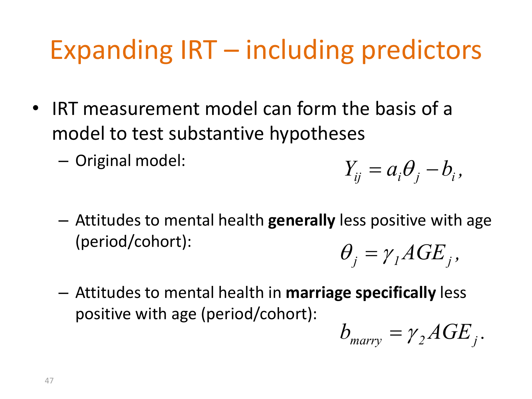### Expanding IRT – including predictors

- IRT measurement model can form the basis of a model to test substantive hypotheses
	- Original model:

$$
Y_{ij} = a_i \theta_j - b_i,
$$

- Attitudes to mental health **generally** less positive with age (period/cohort):  $\theta_i = \gamma_i AGE_i$
- Attitudes to mental health in **marriage specifically** less positive with age (period/cohort):

$$
b_{\text{marry}} = \gamma_2 A G E_j.
$$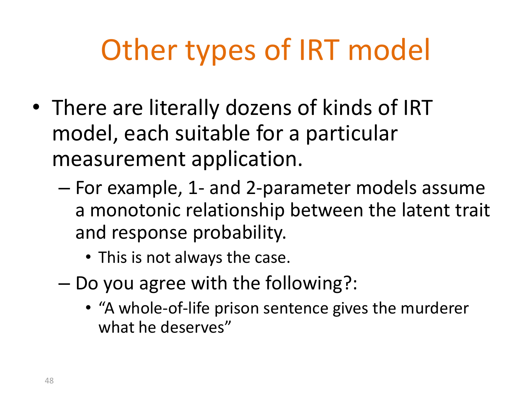# Other types of IRT model

- There are literally dozens of kinds of IRT model, each suitable for a particular measurement application.
	- For example, 1- and 2-parameter models assume a monotonic relationship between the latent trait and response probability.
		- This is not always the case.
	- Do you agree with the following?:
		- "A whole-of-life prison sentence gives the murderer what he deserves"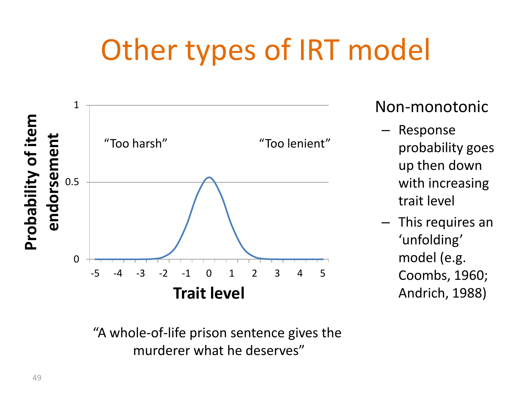# Other types of IRT model



Non-monotonic

- Response probability goes up then down with increasing trait level
- This requires an 'unfolding' model (e.g. Coombs, 1960; Andrich, 1988)

"A whole-of-life prison sentence gives the murderer what he deserves"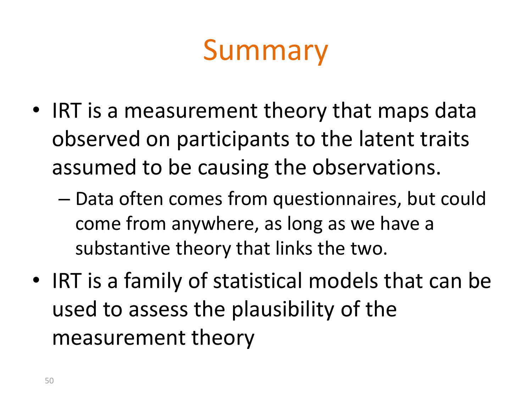# Summary

- IRT is a measurement theory that maps data observed on participants to the latent traits assumed to be causing the observations.
	- Data often comes from questionnaires, but could come from anywhere, as long as we have a substantive theory that links the two.
- IRT is a family of statistical models that can be used to assess the plausibility of the measurement theory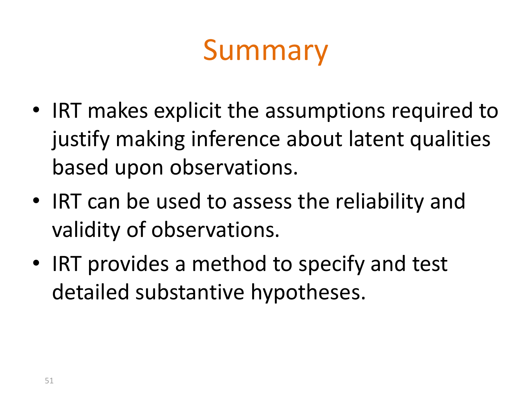# Summary

- IRT makes explicit the assumptions required to justify making inference about latent qualities based upon observations.
- IRT can be used to assess the reliability and validity of observations.
- IRT provides a method to specify and test detailed substantive hypotheses.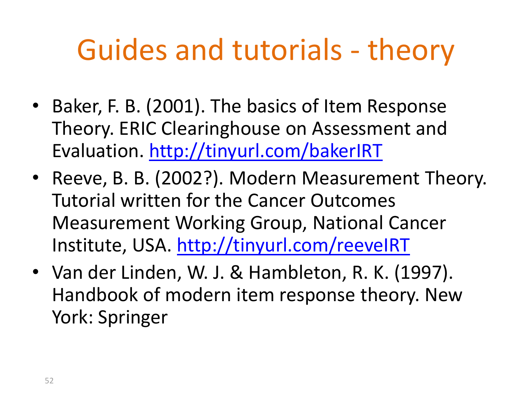# Guides and tutorials - theory

- Baker, F. B. (2001). The basics of Item Response Theory. ERIC Clearinghouse on Assessment and Evaluation. <http://tinyurl.com/bakerIRT>
- Reeve, B. B. (2002?). Modern Measurement Theory. Tutorial written for the Cancer Outcomes Measurement Working Group, National Cancer Institute, USA.<http://tinyurl.com/reeveIRT>
- Van der Linden, W. J. & Hambleton, R. K. (1997). Handbook of modern item response theory. New York: Springer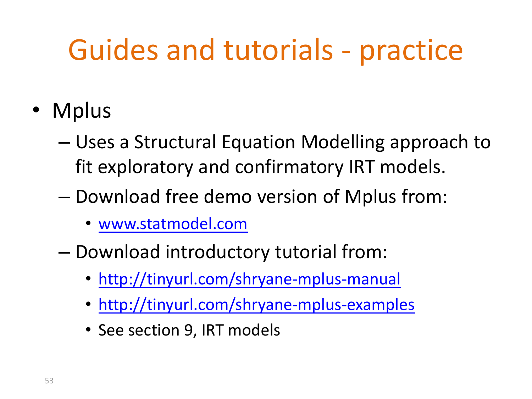- Mplus
	- Uses a Structural Equation Modelling approach to fit exploratory and confirmatory IRT models.
	- Download free demo version of Mplus from:
		- [www.statmodel.com](http://www.statmodel.com/)
	- Download introductory tutorial from:
		- <http://tinyurl.com/shryane-mplus-manual>
		- <http://tinyurl.com/shryane-mplus-examples>
		- See section 9, IRT models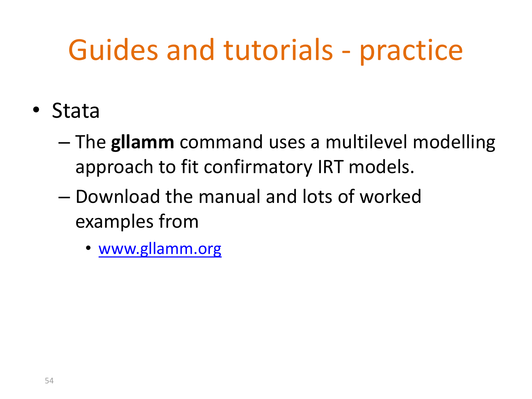- Stata
	- The **gllamm** command uses a multilevel modelling approach to fit confirmatory IRT models.
	- Download the manual and lots of worked examples from
		- [www.gllamm.org](http://www.gllamm.org/)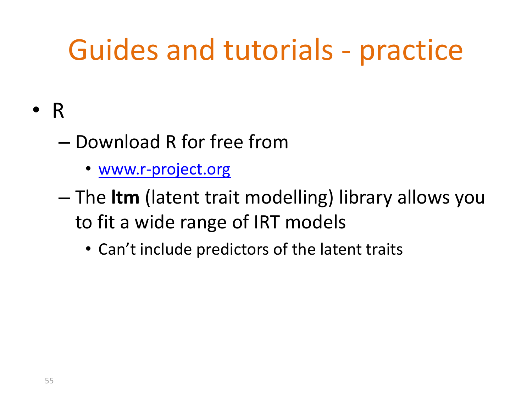- R
	- Download R for free from
		- [www.r-project.org](http://www.r-project.org/)
	- The **ltm** (latent trait modelling) library allows you to fit a wide range of IRT models
		- Can't include predictors of the latent traits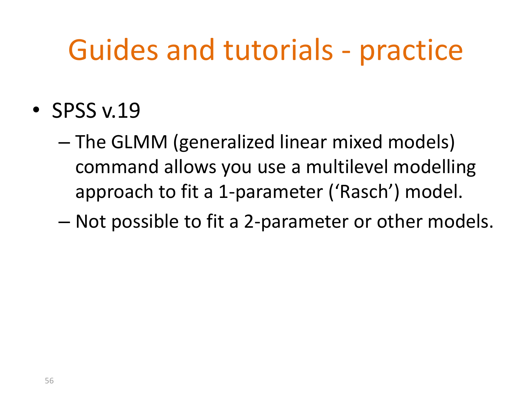- SPSS v.19
	- The GLMM (generalized linear mixed models) command allows you use a multilevel modelling approach to fit a 1-parameter ('Rasch') model.
	- Not possible to fit a 2-parameter or other models.